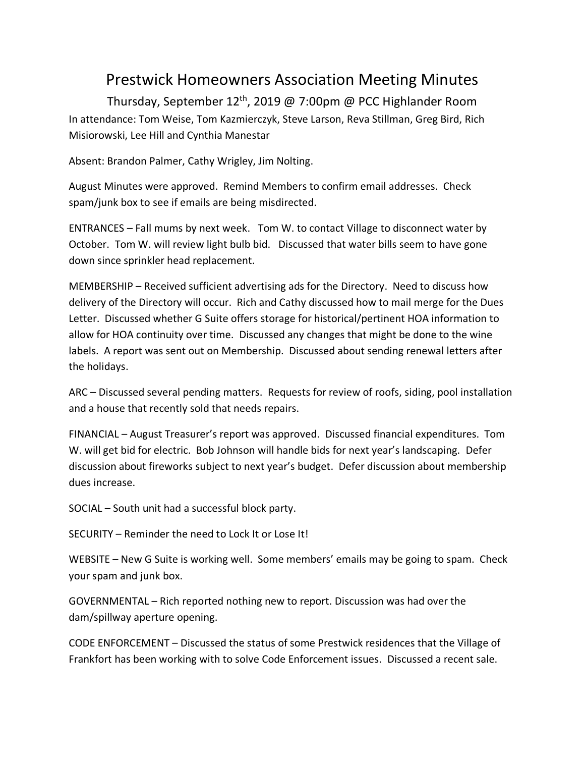## Prestwick Homeowners Association Meeting Minutes

Thursday, September 12th, 2019 @ 7:00pm @ PCC Highlander Room In attendance: Tom Weise, Tom Kazmierczyk, Steve Larson, Reva Stillman, Greg Bird, Rich Misiorowski, Lee Hill and Cynthia Manestar

Absent: Brandon Palmer, Cathy Wrigley, Jim Nolting.

August Minutes were approved. Remind Members to confirm email addresses. Check spam/junk box to see if emails are being misdirected.

ENTRANCES – Fall mums by next week. Tom W. to contact Village to disconnect water by October. Tom W. will review light bulb bid. Discussed that water bills seem to have gone down since sprinkler head replacement.

MEMBERSHIP – Received sufficient advertising ads for the Directory. Need to discuss how delivery of the Directory will occur. Rich and Cathy discussed how to mail merge for the Dues Letter. Discussed whether G Suite offers storage for historical/pertinent HOA information to allow for HOA continuity over time. Discussed any changes that might be done to the wine labels. A report was sent out on Membership. Discussed about sending renewal letters after the holidays.

ARC – Discussed several pending matters. Requests for review of roofs, siding, pool installation and a house that recently sold that needs repairs.

FINANCIAL – August Treasurer's report was approved. Discussed financial expenditures. Tom W. will get bid for electric. Bob Johnson will handle bids for next year's landscaping. Defer discussion about fireworks subject to next year's budget. Defer discussion about membership dues increase.

SOCIAL – South unit had a successful block party.

SECURITY – Reminder the need to Lock It or Lose It!

WEBSITE – New G Suite is working well. Some members' emails may be going to spam. Check your spam and junk box.

GOVERNMENTAL – Rich reported nothing new to report. Discussion was had over the dam/spillway aperture opening.

CODE ENFORCEMENT – Discussed the status of some Prestwick residences that the Village of Frankfort has been working with to solve Code Enforcement issues. Discussed a recent sale.